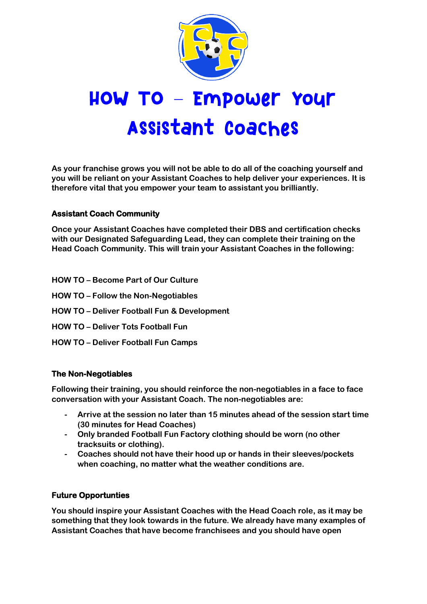

# HOW TO - Empower Your Assistant Coaches

**As your franchise grows you will not be able to do all of the coaching yourself and you will be reliant on your Assistant Coaches to help deliver your experiences. It is therefore vital that you empower your team to assistant you brilliantly.**

## **Assistant Coach Community**

**Once your Assistant Coaches have completed their DBS and certification checks with our Designated Safeguarding Lead, they can complete their training on the Head Coach Community. This will train your Assistant Coaches in the following:**

- **HOW TO – Become Part of Our Culture**
- **HOW TO – Follow the Non-Negotiables**
- **HOW TO – Deliver Football Fun & Development**
- **HOW TO – Deliver Tots Football Fun**
- **HOW TO – Deliver Football Fun Camps**

### **The Non-Negotiables**

**Following their training, you should reinforce the non-negotiables in a face to face conversation with your Assistant Coach. The non-negotiables are:**

- **- Arrive at the session no later than 15 minutes ahead of the session start time (30 minutes for Head Coaches)**
- **- Only branded Football Fun Factory clothing should be worn (no other tracksuits or clothing).**
- **- Coaches should not have their hood up or hands in their sleeves/pockets when coaching, no matter what the weather conditions are.**

### **Future Opportunties**

**You should inspire your Assistant Coaches with the Head Coach role, as it may be something that they look towards in the future. We already have many examples of Assistant Coaches that have become franchisees and you should have open**